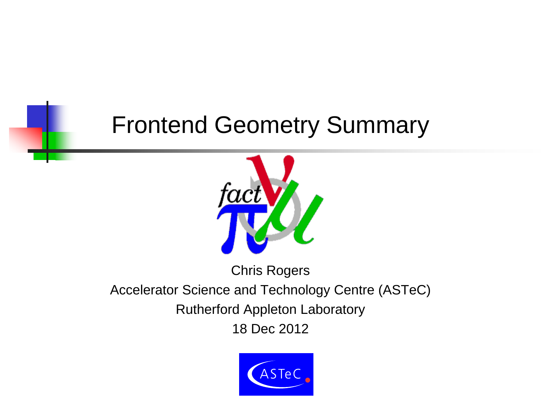#### Frontend Geometry Summary



Chris Rogers

Accelerator Science and Technology Centre (ASTeC)

Rutherford Appleton Laboratory

18 Dec 2012

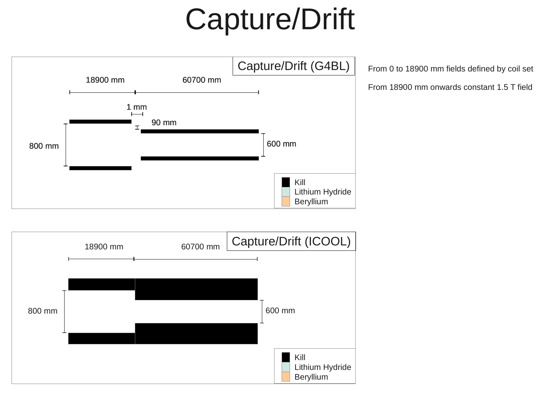# Capture/Drift



From 0 to 18900 mm fields defined by coil set

From 18900 mm onwards constant 1.5 T field

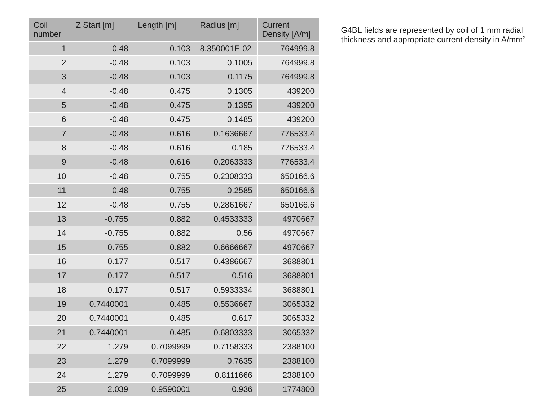| Coil<br>number | Z Start [m] | Length [m] | Radius [m]   | Current<br>Density [A/m] |
|----------------|-------------|------------|--------------|--------------------------|
| $1\,$          | $-0.48$     | 0.103      | 8.350001E-02 | 764999.8                 |
| $\overline{2}$ | $-0.48$     | 0.103      | 0.1005       | 764999.8                 |
| 3              | $-0.48$     | 0.103      | 0.1175       | 764999.8                 |
| $\overline{4}$ | $-0.48$     | 0.475      | 0.1305       | 439200                   |
| 5              | $-0.48$     | 0.475      | 0.1395       | 439200                   |
| 6              | $-0.48$     | 0.475      | 0.1485       | 439200                   |
| $\overline{7}$ | $-0.48$     | 0.616      | 0.1636667    | 776533.4                 |
| 8              | $-0.48$     | 0.616      | 0.185        | 776533.4                 |
| 9              | $-0.48$     | 0.616      | 0.2063333    | 776533.4                 |
| 10             | $-0.48$     | 0.755      | 0.2308333    | 650166.6                 |
| 11             | $-0.48$     | 0.755      | 0.2585       | 650166.6                 |
| 12             | $-0.48$     | 0.755      | 0.2861667    | 650166.6                 |
| 13             | $-0.755$    | 0.882      | 0.4533333    | 4970667                  |
| 14             | $-0.755$    | 0.882      | 0.56         | 4970667                  |
| 15             | $-0.755$    | 0.882      | 0.6666667    | 4970667                  |
| 16             | 0.177       | 0.517      | 0.4386667    | 3688801                  |
| 17             | 0.177       | 0.517      | 0.516        | 3688801                  |
| 18             | 0.177       | 0.517      | 0.5933334    | 3688801                  |
| 19             | 0.7440001   | 0.485      | 0.5536667    | 3065332                  |
| 20             | 0.7440001   | 0.485      | 0.617        | 3065332                  |
| 21             | 0.7440001   | 0.485      | 0.6803333    | 3065332                  |
| 22             | 1.279       | 0.7099999  | 0.7158333    | 2388100                  |
| 23             | 1.279       | 0.7099999  | 0.7635       | 2388100                  |
| 24             | 1.279       | 0.7099999  | 0.8111666    | 2388100                  |
| 25             | 2.039       | 0.9590001  | 0.936        | 1774800                  |

G4BL fields are represented by coil of 1 mm radial thickness and appropriate current density in A/mm<sup>2</sup>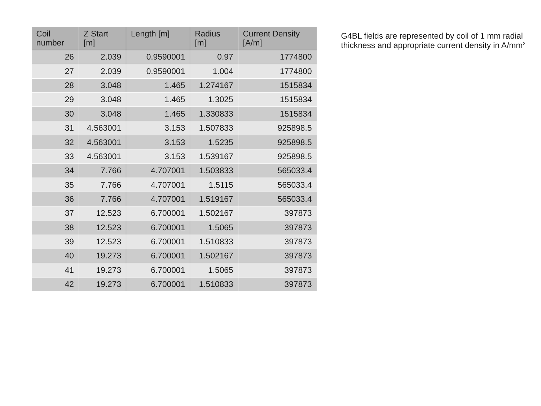| Coil<br>number | <b>Z Start</b><br>[m] | Length $[m]$ | Radius<br>[m] | <b>Current Density</b><br>[A/m] |
|----------------|-----------------------|--------------|---------------|---------------------------------|
| 26             | 2.039                 | 0.9590001    | 0.97          | 1774800                         |
| 27             | 2.039                 | 0.9590001    | 1.004         | 1774800                         |
| 28             | 3.048                 | 1.465        | 1.274167      | 1515834                         |
| 29             | 3.048                 | 1.465        | 1.3025        | 1515834                         |
| 30             | 3.048                 | 1.465        | 1.330833      | 1515834                         |
| 31             | 4.563001              | 3.153        | 1.507833      | 925898.5                        |
| 32             | 4.563001              | 3.153        | 1.5235        | 925898.5                        |
| 33             | 4.563001              | 3.153        | 1.539167      | 925898.5                        |
| 34             | 7.766                 | 4.707001     | 1.503833      | 565033.4                        |
| 35             | 7.766                 | 4.707001     | 1.5115        | 565033.4                        |
| 36             | 7.766                 | 4.707001     | 1.519167      | 565033.4                        |
| 37             | 12.523                | 6.700001     | 1.502167      | 397873                          |
| 38             | 12.523                | 6.700001     | 1.5065        | 397873                          |
| 39             | 12.523                | 6.700001     | 1.510833      | 397873                          |
| 40             | 19.273                | 6.700001     | 1.502167      | 397873                          |
| 41             | 19.273                | 6.700001     | 1.5065        | 397873                          |
| 42             | 19.273                | 6.700001     | 1.510833      | 397873                          |

G4BL fields are represented by coil of 1 mm radial thickness and appropriate current density in A/mm<sup>2</sup>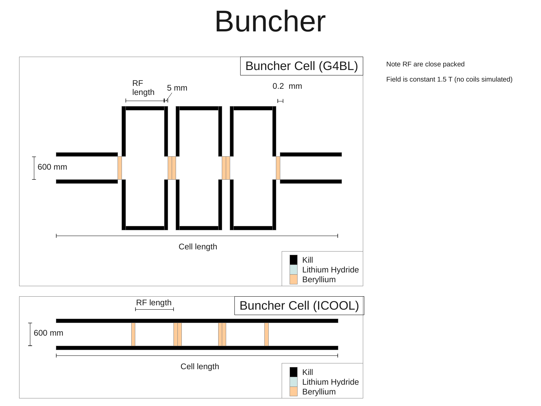## Buncher



600 mm RF length Cell length Buncher Cell (ICOOL) Kill Lithium Hydride Beryllium

Note RF are close packed

Field is constant 1.5 T (no coils simulated)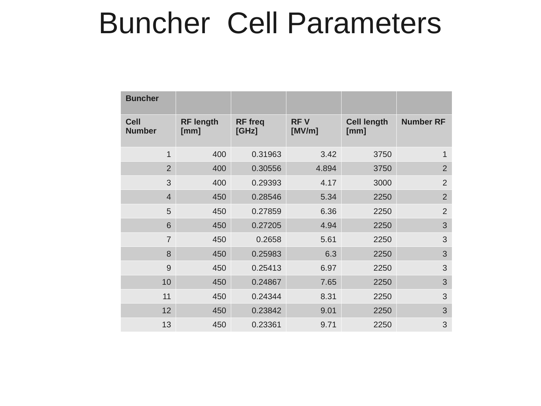#### Buncher Cell Parameters

| <b>Buncher</b>               |                          |                         |                      |                            |                  |
|------------------------------|--------------------------|-------------------------|----------------------|----------------------------|------------------|
| <b>Cell</b><br><b>Number</b> | <b>RF length</b><br>[mm] | <b>RF</b> freq<br>[GHz] | <b>RFV</b><br>[MV/m] | <b>Cell length</b><br>[mm] | <b>Number RF</b> |
| $\mathbf{1}$                 | 400                      | 0.31963                 | 3.42                 | 3750                       | $\mathbf{1}$     |
| $\overline{2}$               | 400                      | 0.30556                 | 4.894                | 3750                       | $\overline{2}$   |
| 3                            | 400                      | 0.29393                 | 4.17                 | 3000                       | $\overline{2}$   |
| $\overline{4}$               | 450                      | 0.28546                 | 5.34                 | 2250                       | $\overline{2}$   |
| 5                            | 450                      | 0.27859                 | 6.36                 | 2250                       | $\overline{2}$   |
| 6                            | 450                      | 0.27205                 | 4.94                 | 2250                       | 3                |
| $\overline{7}$               | 450                      | 0.2658                  | 5.61                 | 2250                       | 3                |
| 8                            | 450                      | 0.25983                 | 6.3                  | 2250                       | 3                |
| 9                            | 450                      | 0.25413                 | 6.97                 | 2250                       | 3                |
| 10                           | 450                      | 0.24867                 | 7.65                 | 2250                       | 3                |
| 11                           | 450                      | 0.24344                 | 8.31                 | 2250                       | 3                |
| 12                           | 450                      | 0.23842                 | 9.01                 | 2250                       | 3                |
| 13                           | 450                      | 0.23361                 | 9.71                 | 2250                       | 3                |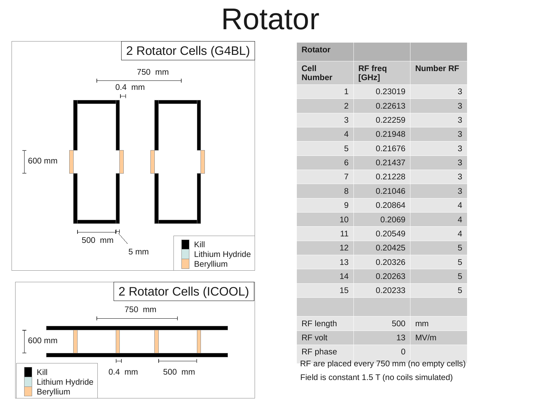#### Rotator





| <b>Rotator</b>               |                                             |                  |
|------------------------------|---------------------------------------------|------------------|
| <b>Cell</b><br><b>Number</b> | <b>RF</b> freq<br>[GHz]                     | <b>Number RF</b> |
| $\mathbf{1}$                 | 0.23019                                     | 3                |
| $\overline{2}$               | 0.22613                                     | 3                |
| 3                            | 0.22259                                     | 3                |
| $\overline{4}$               | 0.21948                                     | 3                |
| 5                            | 0.21676                                     | 3                |
| 6                            | 0.21437                                     | 3                |
| $\overline{7}$               | 0.21228                                     | 3                |
| 8                            | 0.21046                                     | 3                |
| 9                            | 0.20864                                     | $\overline{4}$   |
| 10                           | 0.2069                                      | $\overline{4}$   |
| 11                           | 0.20549                                     | $\overline{4}$   |
| 12                           | 0.20425                                     | 5                |
| 13                           | 0.20326                                     | 5                |
| 14                           | 0.20263                                     | 5                |
| 15                           | 0.20233                                     | 5                |
|                              |                                             |                  |
| RF length                    | 500                                         | mm               |
| <b>RF</b> volt               | 13                                          | MV/m             |
| RF phase                     | $\overline{0}$                              |                  |
|                              | RF are placed every 750 mm (no empty cells) |                  |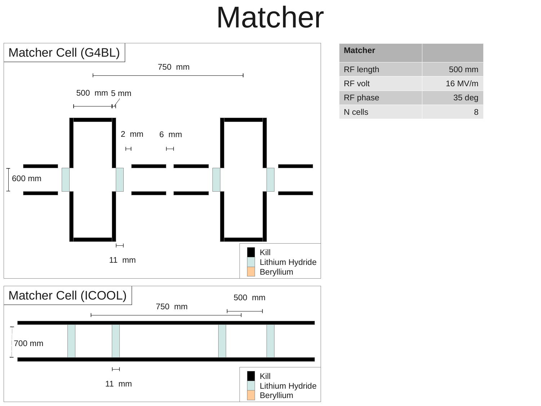### Matcher



| <b>Matcher</b> |         |
|----------------|---------|
| RF length      | 500 mm  |
| RF volt        | 16 MV/m |
| RF phase       | 35 deg  |
| N cells        | 8       |